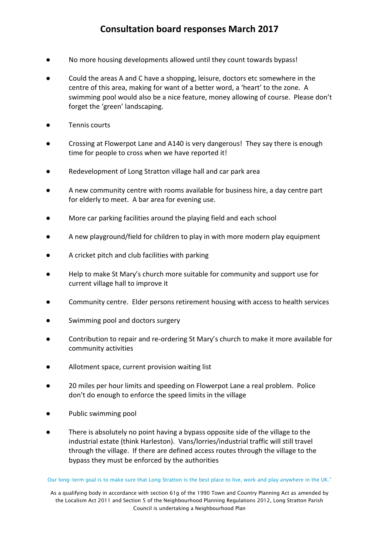- No more housing developments allowed until they count towards bypass!
- Could the areas A and C have a shopping, leisure, doctors etc somewhere in the centre of this area, making for want of a better word, a 'heart' to the zone. A swimming pool would also be a nice feature, money allowing of course. Please don't forget the 'green' landscaping.
- Tennis courts
- Crossing at Flowerpot Lane and A140 is very dangerous! They say there is enough time for people to cross when we have reported it!
- Redevelopment of Long Stratton village hall and car park area
- A new community centre with rooms available for business hire, a day centre part for elderly to meet. A bar area for evening use.
- More car parking facilities around the playing field and each school
- A new playground/field for children to play in with more modern play equipment
- A cricket pitch and club facilities with parking
- Help to make St Mary's church more suitable for community and support use for current village hall to improve it
- Community centre. Elder persons retirement housing with access to health services
- Swimming pool and doctors surgery
- Contribution to repair and re-ordering St Mary's church to make it more available for community activities
- Allotment space, current provision waiting list
- 20 miles per hour limits and speeding on Flowerpot Lane a real problem. Police don't do enough to enforce the speed limits in the village
- Public swimming pool
- There is absolutely no point having a bypass opposite side of the village to the industrial estate (think Harleston). Vans/lorries/industrial traffic will still travel through the village. If there are defined access routes through the village to the bypass they must be enforced by the authorities

Our long-term goal is to make sure that Long Stratton is the best place to live, work and play anywhere in the UK."

As a qualifying body in accordance with section 61g of the 1990 Town and Country Planning Act as amended by the Localism Act 2011 and Section 5 of the Neighbourhood Planning Regulations 2012, Long Stratton Parish Council is undertaking a Neighbourhood Plan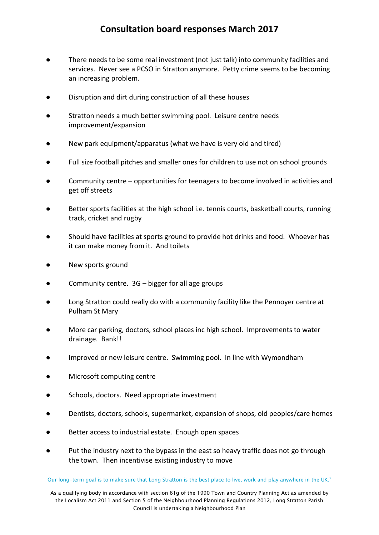- There needs to be some real investment (not just talk) into community facilities and services. Never see a PCSO in Stratton anymore. Petty crime seems to be becoming an increasing problem.
- Disruption and dirt during construction of all these houses
- Stratton needs a much better swimming pool. Leisure centre needs improvement/expansion
- New park equipment/apparatus (what we have is very old and tired)
- Full size football pitches and smaller ones for children to use not on school grounds
- Community centre opportunities for teenagers to become involved in activities and get off streets
- Better sports facilities at the high school i.e. tennis courts, basketball courts, running track, cricket and rugby
- Should have facilities at sports ground to provide hot drinks and food. Whoever has it can make money from it. And toilets
- New sports ground
- Community centre.  $3G bigger$  for all age groups
- Long Stratton could really do with a community facility like the Pennoyer centre at Pulham St Mary
- More car parking, doctors, school places inc high school. Improvements to water drainage. Bank!!
- Improved or new leisure centre. Swimming pool. In line with Wymondham
- Microsoft computing centre
- Schools, doctors. Need appropriate investment
- Dentists, doctors, schools, supermarket, expansion of shops, old peoples/care homes
- Better access to industrial estate. Enough open spaces
- Put the industry next to the bypass in the east so heavy traffic does not go through the town. Then incentivise existing industry to move

Our long-term goal is to make sure that Long Stratton is the best place to live, work and play anywhere in the UK."

As a qualifying body in accordance with section 61g of the 1990 Town and Country Planning Act as amended by the Localism Act 2011 and Section 5 of the Neighbourhood Planning Regulations 2012, Long Stratton Parish Council is undertaking a Neighbourhood Plan